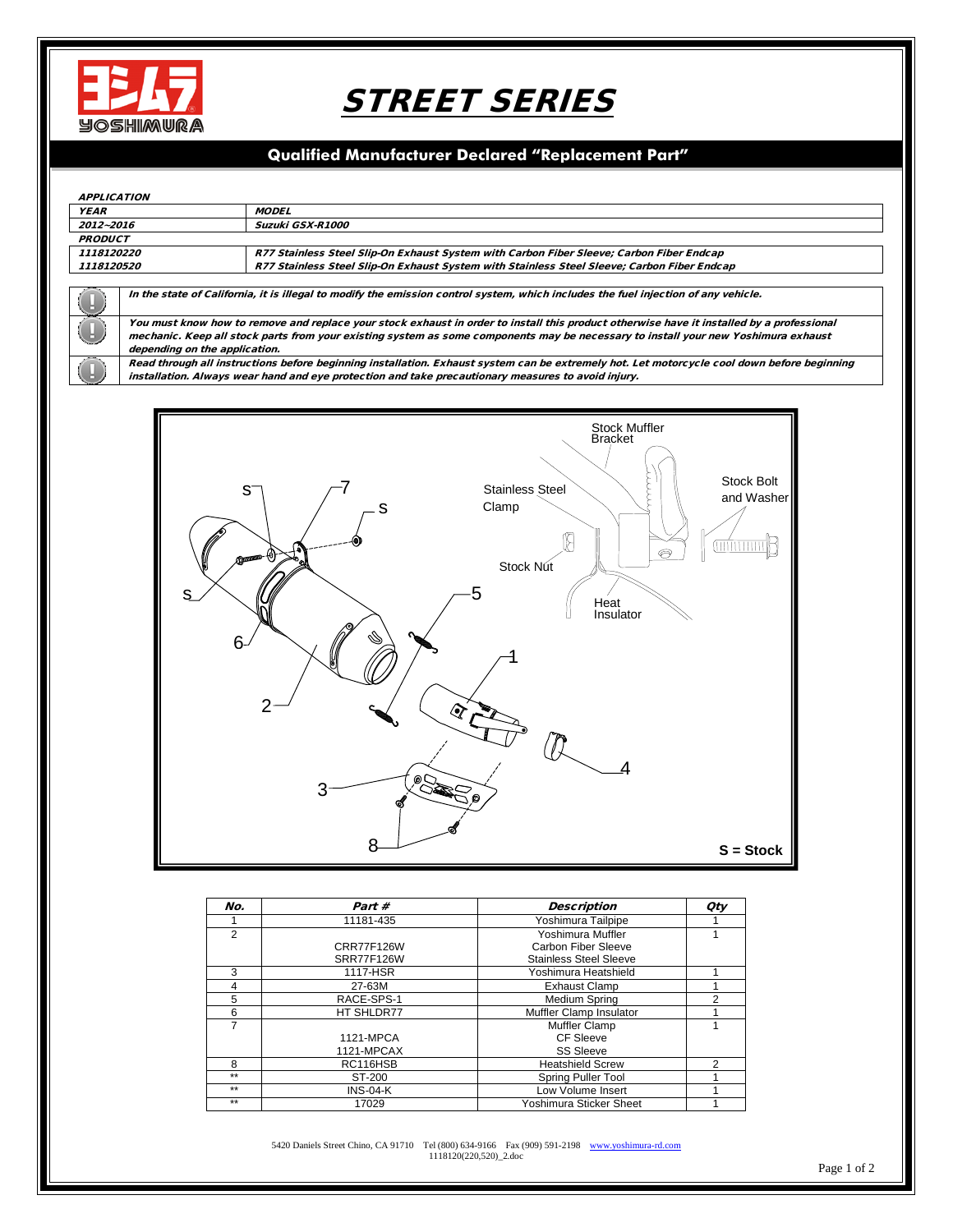

# STREET SERIES

### **Qualified Manufacturer Declared "Replacement Part"**

#### APPLICATION

| AFFLICATION        |                                                                                                                                             |                                                                                             |  |  |  |
|--------------------|---------------------------------------------------------------------------------------------------------------------------------------------|---------------------------------------------------------------------------------------------|--|--|--|
| <i><b>YEAR</b></i> |                                                                                                                                             | <b>MODEL</b>                                                                                |  |  |  |
| 2012~2016          |                                                                                                                                             | Suzuki GSX-R1000                                                                            |  |  |  |
| <b>PRODUCT</b>     |                                                                                                                                             |                                                                                             |  |  |  |
| 1118120220         |                                                                                                                                             | R77 Stainless Steel Slip-On Exhaust System with Carbon Fiber Sleeve; Carbon Fiber Endcap    |  |  |  |
| 1118120520         |                                                                                                                                             | R77 Stainless Steel Slip-On Exhaust System with Stainless Steel Sleeve; Carbon Fiber Endcap |  |  |  |
|                    |                                                                                                                                             |                                                                                             |  |  |  |
|                    | In the state of California, it is illegal to modify the emission control system, which includes the fuel injection of any vehicle.          |                                                                                             |  |  |  |
|                    | You must know how to remove and replace your stock exhaust in order to install this product otherwise have it installed by a professional   |                                                                                             |  |  |  |
|                    | mechanic. Keep all stock parts from your existing system as some components may be necessary to install your new Yoshimura exhaust          |                                                                                             |  |  |  |
|                    | depending on the application.                                                                                                               |                                                                                             |  |  |  |
|                    | Read through all instructions before beginning installation. Exhaust system can be extremely hot. Let motorcycle cool down before beginning |                                                                                             |  |  |  |
|                    | installation. Always wear hand and eye protection and take precautionary measures to avoid injury.                                          |                                                                                             |  |  |  |



| No.            | Part #            | <b>Description</b>            | <b>Qty</b> |
|----------------|-------------------|-------------------------------|------------|
|                | 11181-435         | Yoshimura Tailpipe            |            |
| $\overline{2}$ |                   | Yoshimura Muffler             |            |
|                | <b>CRR77F126W</b> | Carbon Fiber Sleeve           |            |
|                | <b>SRR77F126W</b> | <b>Stainless Steel Sleeve</b> |            |
| 3              | 1117-HSR          | Yoshimura Heatshield          |            |
| 4              | 27-63M            | <b>Exhaust Clamp</b>          |            |
| 5              | RACE-SPS-1        | Medium Spring                 | 2          |
| 6              | HT SHLDR77        | Muffler Clamp Insulator       |            |
| 7              |                   | Muffler Clamp                 |            |
|                | 1121-MPCA         | CF Sleeve                     |            |
|                | 1121-MPCAX        | <b>SS Sleeve</b>              |            |
| 8              | RC116HSB          | <b>Heatshield Screw</b>       | 2          |
| $***$          | ST-200            | Spring Puller Tool            |            |
| $***$          | $INS-04-K$        | Low Volume Insert             |            |
| $***$          | 17029             | Yoshimura Sticker Sheet       |            |

5420 Daniels Street Chino, CA 91710 Tel (800) 634-9166 Fax (909) 591-2198 [www.yoshimura-rd.com](http://www.yoshimura-rd.com/) 1118120(220,520)\_2.doc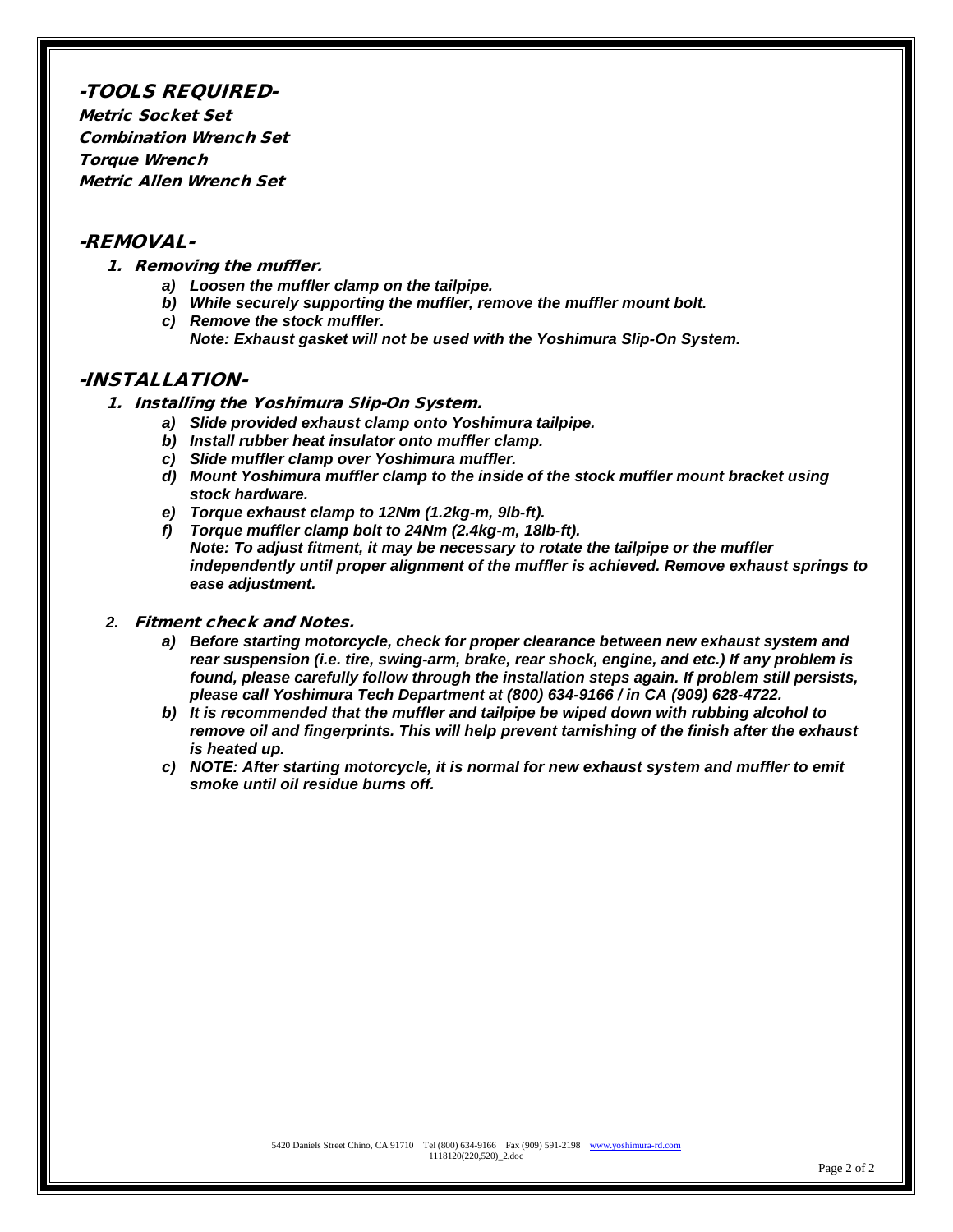#### -TOOLS REQUIRED-

Metric Socket Set Combination Wrench Set Torque Wrench Metric Allen Wrench Set

#### -REMOVAL-

- 1. Removing the muffler.
	- *a) Loosen the muffler clamp on the tailpipe.*
	- *b) While securely supporting the muffler, remove the muffler mount bolt.*
	- *c) Remove the stock muffler. Note: Exhaust gasket will not be used with the Yoshimura Slip-On System.*

#### -INSTALLATION-

- 1. Installing the Yoshimura Slip-On System.
	- *a) Slide provided exhaust clamp onto Yoshimura tailpipe.*
	- *b) Install rubber heat insulator onto muffler clamp.*
	- *c) Slide muffler clamp over Yoshimura muffler.*
	- *d) Mount Yoshimura muffler clamp to the inside of the stock muffler mount bracket using stock hardware.*
	- *e) Torque exhaust clamp to 12Nm (1.2kg-m, 9lb-ft).*
	- *f) Torque muffler clamp bolt to 24Nm (2.4kg-m, 18lb-ft). Note: To adjust fitment, it may be necessary to rotate the tailpipe or the muffler independently until proper alignment of the muffler is achieved. Remove exhaust springs to ease adjustment.*

#### *2.* Fitment check and Notes.

- *a) Before starting motorcycle, check for proper clearance between new exhaust system and rear suspension (i.e. tire, swing-arm, brake, rear shock, engine, and etc.) If any problem is found, please carefully follow through the installation steps again. If problem still persists, please call Yoshimura Tech Department at (800) 634-9166 / in CA (909) 628-4722.*
- *b) It is recommended that the muffler and tailpipe be wiped down with rubbing alcohol to remove oil and fingerprints. This will help prevent tarnishing of the finish after the exhaust is heated up.*
- *c) NOTE: After starting motorcycle, it is normal for new exhaust system and muffler to emit smoke until oil residue burns off.*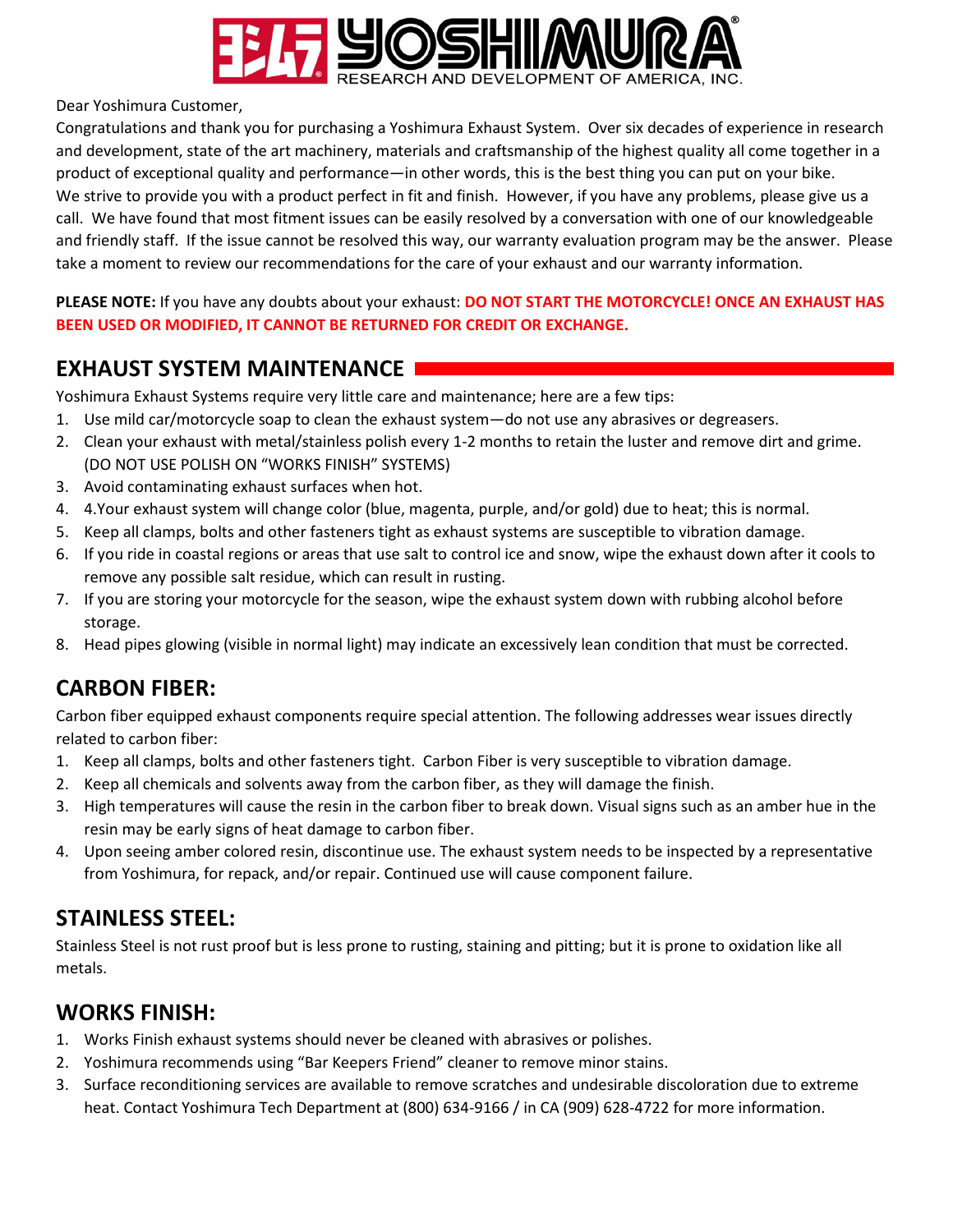

Dear Yoshimura Customer,

Congratulations and thank you for purchasing a Yoshimura Exhaust System. Over six decades of experience in research and development, state of the art machinery, materials and craftsmanship of the highest quality all come together in a product of exceptional quality and performance—in other words, this is the best thing you can put on your bike. We strive to provide you with a product perfect in fit and finish. However, if you have any problems, please give us a call. We have found that most fitment issues can be easily resolved by a conversation with one of our knowledgeable and friendly staff. If the issue cannot be resolved this way, our warranty evaluation program may be the answer. Please take a moment to review our recommendations for the care of your exhaust and our warranty information.

**PLEASE NOTE:** If you have any doubts about your exhaust: **DO NOT START THE MOTORCYCLE! ONCE AN EXHAUST HAS BEEN USED OR MODIFIED, IT CANNOT BE RETURNED FOR CREDIT OR EXCHANGE.** 

### **EXHAUST SYSTEM MAINTENANCE**

Yoshimura Exhaust Systems require very little care and maintenance; here are a few tips:

- 1. Use mild car/motorcycle soap to clean the exhaust system—do not use any abrasives or degreasers.
- 2. Clean your exhaust with metal/stainless polish every 1-2 months to retain the luster and remove dirt and grime. (DO NOT USE POLISH ON "WORKS FINISH" SYSTEMS)
- 3. Avoid contaminating exhaust surfaces when hot.
- 4. 4.Your exhaust system will change color (blue, magenta, purple, and/or gold) due to heat; this is normal.
- 5. Keep all clamps, bolts and other fasteners tight as exhaust systems are susceptible to vibration damage.
- 6. If you ride in coastal regions or areas that use salt to control ice and snow, wipe the exhaust down after it cools to remove any possible salt residue, which can result in rusting.
- 7. If you are storing your motorcycle for the season, wipe the exhaust system down with rubbing alcohol before storage.
- 8. Head pipes glowing (visible in normal light) may indicate an excessively lean condition that must be corrected.

# **CARBON FIBER:**

Carbon fiber equipped exhaust components require special attention. The following addresses wear issues directly related to carbon fiber:

- 1. Keep all clamps, bolts and other fasteners tight. Carbon Fiber is very susceptible to vibration damage.
- 2. Keep all chemicals and solvents away from the carbon fiber, as they will damage the finish.
- 3. High temperatures will cause the resin in the carbon fiber to break down. Visual signs such as an amber hue in the resin may be early signs of heat damage to carbon fiber.
- 4. Upon seeing amber colored resin, discontinue use. The exhaust system needs to be inspected by a representative from Yoshimura, for repack, and/or repair. Continued use will cause component failure.

# **STAINLESS STEEL:**

Stainless Steel is not rust proof but is less prone to rusting, staining and pitting; but it is prone to oxidation like all metals.

### **WORKS FINISH:**

- 1. Works Finish exhaust systems should never be cleaned with abrasives or polishes.
- 2. Yoshimura recommends using "Bar Keepers Friend" cleaner to remove minor stains.
- 3. Surface reconditioning services are available to remove scratches and undesirable discoloration due to extreme heat. Contact Yoshimura Tech Department at (800) 634-9166 / in CA (909) 628-4722 for more information.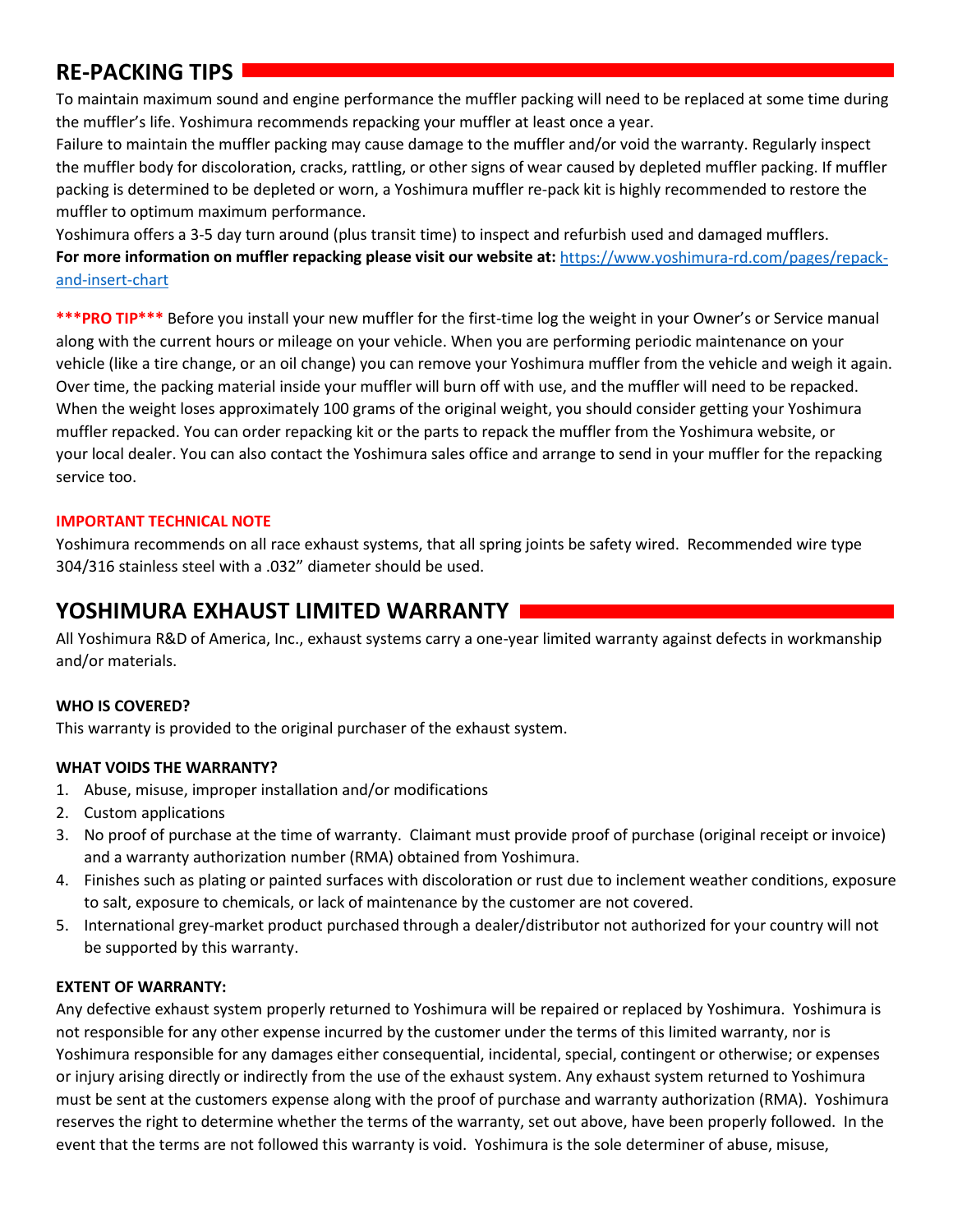### **RE-PACKING TIPS**

To maintain maximum sound and engine performance the muffler packing will need to be replaced at some time during the muffler's life. Yoshimura recommends repacking your muffler at least once a year.

Failure to maintain the muffler packing may cause damage to the muffler and/or void the warranty. Regularly inspect the muffler body for discoloration, cracks, rattling, or other signs of wear caused by depleted muffler packing. If muffler packing is determined to be depleted or worn, a Yoshimura muffler re-pack kit is highly recommended to restore the muffler to optimum maximum performance.

Yoshimura offers a 3-5 day turn around (plus transit time) to inspect and refurbish used and damaged mufflers. **For more information on muffler repacking please visit our website at:** [https://www.yoshimura-rd.com/pages/repack](https://www.yoshimura-rd.com/pages/repack-and-insert-chart)[and-insert-chart](https://www.yoshimura-rd.com/pages/repack-and-insert-chart)

**\*\*\*PRO TIP\*\*\*** Before you install your new muffler for the first-time log the weight in your Owner's or Service manual along with the current hours or mileage on your vehicle. When you are performing periodic maintenance on your vehicle (like a tire change, or an oil change) you can remove your Yoshimura muffler from the vehicle and weigh it again. Over time, the packing material inside your muffler will burn off with use, and the muffler will need to be repacked. When the weight loses approximately 100 grams of the original weight, you should consider getting your Yoshimura muffler repacked. You can order repacking kit or the parts to repack the muffler from the Yoshimura website, or your local dealer. You can also contact the Yoshimura sales office and arrange to send in your muffler for the repacking service too.

### **IMPORTANT TECHNICAL NOTE**

Yoshimura recommends on all race exhaust systems, that all spring joints be safety wired. Recommended wire type 304/316 stainless steel with a .032" diameter should be used.

### **YOSHIMURA EXHAUST LIMITED WARRANTY**

All Yoshimura R&D of America, Inc., exhaust systems carry a one-year limited warranty against defects in workmanship and/or materials.

### **WHO IS COVERED?**

This warranty is provided to the original purchaser of the exhaust system.

### **WHAT VOIDS THE WARRANTY?**

- 1. Abuse, misuse, improper installation and/or modifications
- 2. Custom applications
- 3. No proof of purchase at the time of warranty. Claimant must provide proof of purchase (original receipt or invoice) and a warranty authorization number (RMA) obtained from Yoshimura.
- 4. Finishes such as plating or painted surfaces with discoloration or rust due to inclement weather conditions, exposure to salt, exposure to chemicals, or lack of maintenance by the customer are not covered.
- 5. International grey-market product purchased through a dealer/distributor not authorized for your country will not be supported by this warranty.

### **EXTENT OF WARRANTY:**

Any defective exhaust system properly returned to Yoshimura will be repaired or replaced by Yoshimura. Yoshimura is not responsible for any other expense incurred by the customer under the terms of this limited warranty, nor is Yoshimura responsible for any damages either consequential, incidental, special, contingent or otherwise; or expenses or injury arising directly or indirectly from the use of the exhaust system. Any exhaust system returned to Yoshimura must be sent at the customers expense along with the proof of purchase and warranty authorization (RMA). Yoshimura reserves the right to determine whether the terms of the warranty, set out above, have been properly followed. In the event that the terms are not followed this warranty is void. Yoshimura is the sole determiner of abuse, misuse,